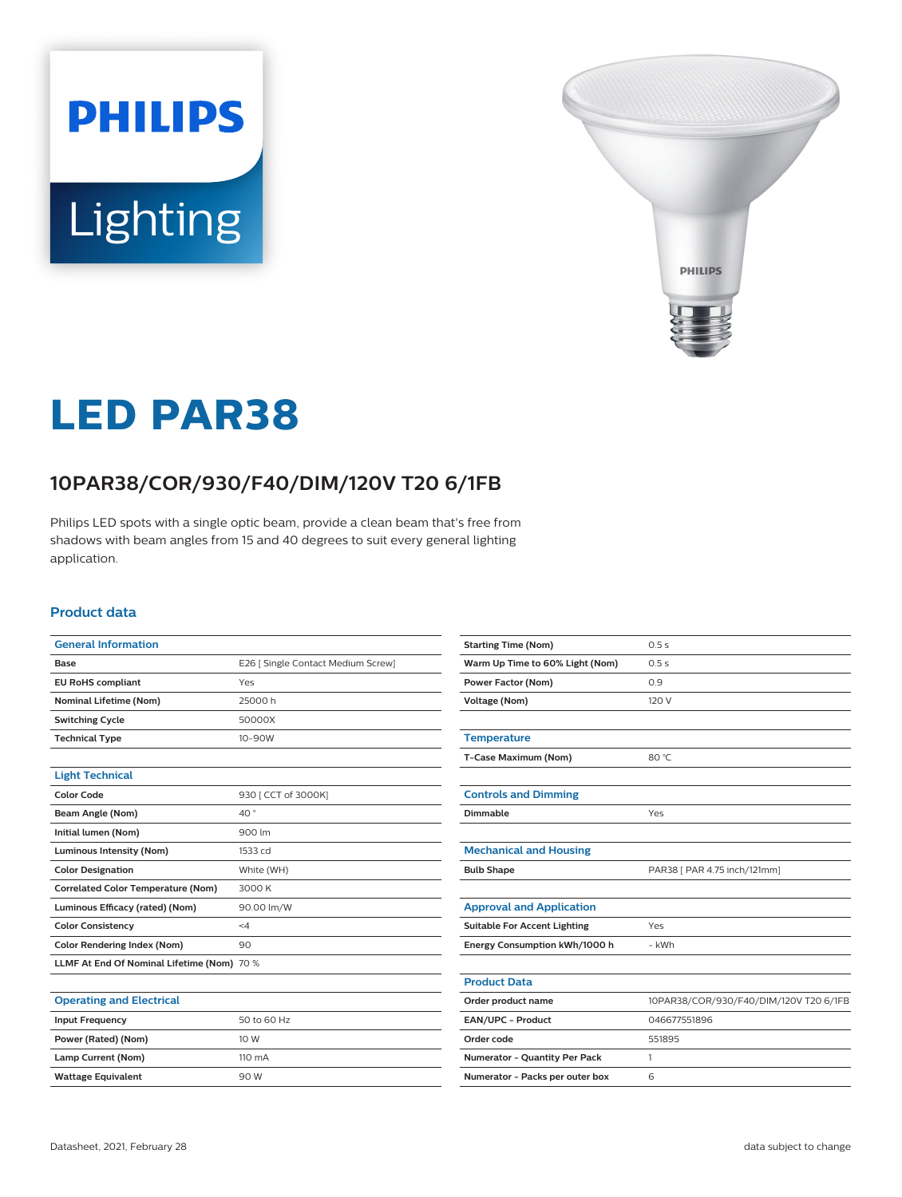# **PHILIPS** Lighting



# **LED PAR38**

# **10PAR38/COR/930/F40/DIM/120V T20 6/1FB**

Philips LED spots with a single optic beam, provide a clean beam that's free from shadows with beam angles from 15 and 40 degrees to suit every general lighting application.

#### **Product data**

| <b>General Information</b>                 |                                    |
|--------------------------------------------|------------------------------------|
| Base                                       | E26   Single Contact Medium Screw] |
| <b>EU RoHS compliant</b>                   | Yes                                |
| <b>Nominal Lifetime (Nom)</b>              | 25000 h                            |
| <b>Switching Cycle</b>                     | 50000X                             |
| <b>Technical Type</b>                      | $10 - 90W$                         |
|                                            |                                    |
| <b>Light Technical</b>                     |                                    |
| Color Code                                 | 930   CCT of 3000K]                |
| Beam Angle (Nom)                           | 40°                                |
| Initial lumen (Nom)                        | 900 lm                             |
| Luminous Intensity (Nom)                   | 1533 cd                            |
| <b>Color Designation</b>                   | White (WH)                         |
| <b>Correlated Color Temperature (Nom)</b>  | 3000K                              |
| Luminous Efficacy (rated) (Nom)            | 90.00 lm/W                         |
| <b>Color Consistency</b>                   | $\leq 4$                           |
| <b>Color Rendering Index (Nom)</b>         | 90                                 |
| LLMF At End Of Nominal Lifetime (Nom) 70 % |                                    |
|                                            |                                    |

| <b>Starting Time (Nom)</b>          | 0.5s                                   |
|-------------------------------------|----------------------------------------|
| Warm Up Time to 60% Light (Nom)     | 0.5s                                   |
| <b>Power Factor (Nom)</b>           | 0.9                                    |
| <b>Voltage (Nom)</b>                | 120 V                                  |
|                                     |                                        |
| <b>Temperature</b>                  |                                        |
| T-Case Maximum (Nom)                | 80 °C                                  |
|                                     |                                        |
| <b>Controls and Dimming</b>         |                                        |
| Dimmable                            | Yes                                    |
|                                     |                                        |
| <b>Mechanical and Housing</b>       |                                        |
| <b>Bulb Shape</b>                   | PAR38 [ PAR 4.75 inch/121mm]           |
|                                     |                                        |
| <b>Approval and Application</b>     |                                        |
| <b>Suitable For Accent Lighting</b> | Yes                                    |
| Energy Consumption kWh/1000 h       | - kWh                                  |
|                                     |                                        |
| <b>Product Data</b>                 |                                        |
| Order product name                  | 10PAR38/COR/930/F40/DIM/120V T20 6/1FB |
| EAN/UPC - Product                   | 046677551896                           |
| Order code                          | 551895                                 |
| Numerator - Quantity Per Pack       | 1                                      |
| Numerator - Packs per outer box     | 6                                      |

#### **Operating and Electrical**

| <b>Input Frequency</b>    | 50 to 60 Hz      |
|---------------------------|------------------|
| Power (Rated) (Nom)       | 10 W             |
| Lamp Current (Nom)        | $110 \text{ mA}$ |
| <b>Wattage Equivalent</b> | 90 W             |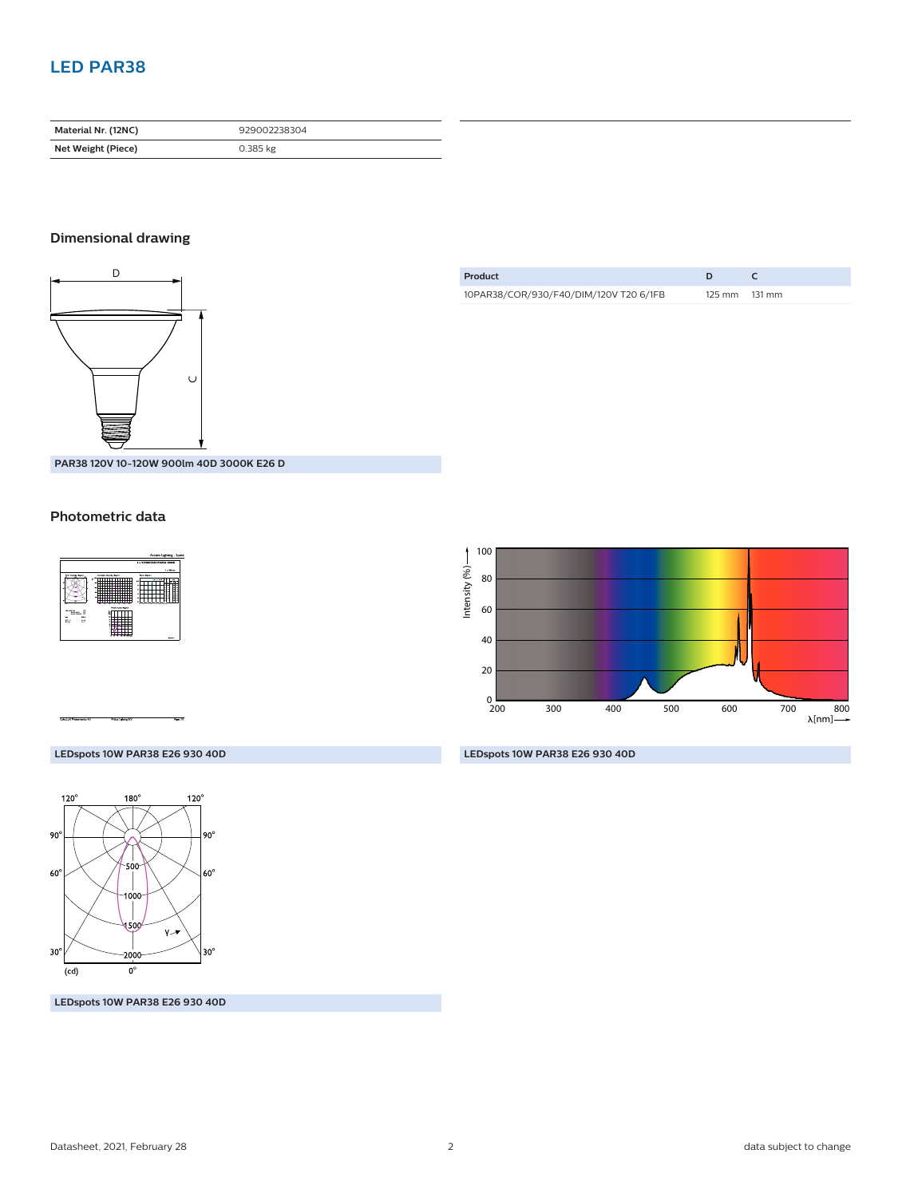## **LED PAR38**

| Material Nr. (12NC) | 929002238304 |
|---------------------|--------------|
| Net Weight (Piece)  | $0.385$ kg   |

#### **Dimensional drawing**



**Product D C** 10PAR38/COR/930/F40/DIM/120V T20 6/1FB 125 mm 131 mm

**PAR38 120V 10-120W 900lm 40D 3000K E26 D**

#### **Photometric data**





#### **LEDspots 10W PAR38 E26 930 40D**



**LEDspots 10W PAR38 E26 930 40D**

**LEDspots 10W PAR38 E26 930 40D**